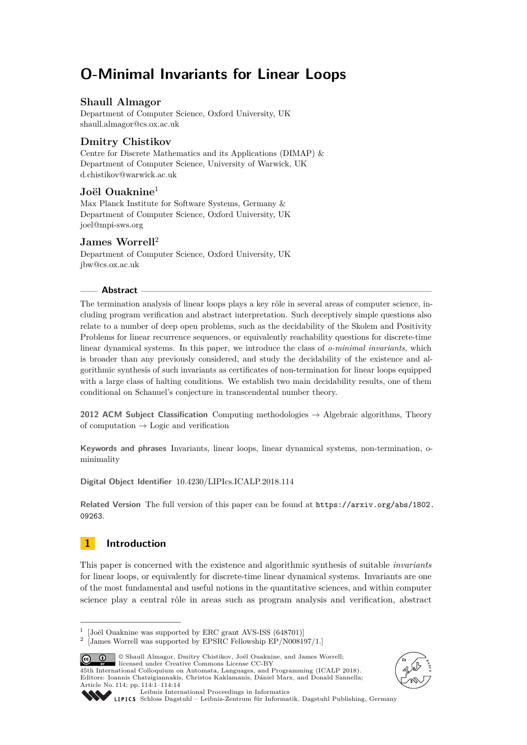# **O-Minimal Invariants for Linear Loops**

# **Shaull Almagor**

Department of Computer Science, Oxford University, UK [shaull.almagor@cs.ox.ac.uk](mailto:shaull.almagor@cs.ox.ac.uk)

# **Dmitry Chistikov**

Centre for Discrete Mathematics and its Applications (DIMAP) & Department of Computer Science, University of Warwick, UK [d.chistikov@warwick.ac.uk](mailto:d.chistikov@warwick.ac.uk)

# **Joël Ouaknine**<sup>1</sup>

Max Planck Institute for Software Systems, Germany & Department of Computer Science, Oxford University, UK [joel@mpi-sws.org](mailto:joel@mpi-sws.org)

# **James Worrell**<sup>2</sup>

Department of Computer Science, Oxford University, UK [jbw@cs.ox.ac.uk](mailto:jbw@cs.ox.ac.uk)

## **Abstract**

The termination analysis of linear loops plays a key rôle in several areas of computer science, including program verification and abstract interpretation. Such deceptively simple questions also relate to a number of deep open problems, such as the decidability of the Skolem and Positivity Problems for linear recurrence sequences, or equivalently reachability questions for discrete-time linear dynamical systems. In this paper, we introduce the class of *o-minimal invariants*, which is broader than any previously considered, and study the decidability of the existence and algorithmic synthesis of such invariants as certificates of non-termination for linear loops equipped with a large class of halting conditions. We establish two main decidability results, one of them conditional on Schanuel's conjecture in transcendental number theory.

**2012 ACM Subject Classification** Computing methodologies → Algebraic algorithms, Theory of computation  $\rightarrow$  Logic and verification

**Keywords and phrases** Invariants, linear loops, linear dynamical systems, non-termination, ominimality

**Digital Object Identifier** [10.4230/LIPIcs.ICALP.2018.114](http://dx.doi.org/10.4230/LIPIcs.ICALP.2018.114)

Related Version The full version of this paper can be found at [https://arxiv.org/abs/1802.](https://arxiv.org/abs/1802.09263) [09263](https://arxiv.org/abs/1802.09263).

# **1 Introduction**

This paper is concerned with the existence and algorithmic synthesis of suitable *invariants* for linear loops, or equivalently for discrete-time linear dynamical systems. Invariants are one of the most fundamental and useful notions in the quantitative sciences, and within computer science play a central rôle in areas such as program analysis and verification, abstract

© Shaull Almagor, Dmitry Chistikov, Joël Ouaknine, and James Worrell; |ര $\theta$  | licensed under Creative Commons License CC-BY

45th International Colloquium on Automata, Languages, and Programming (ICALP 2018). Editors: Ioannis Chatzigiannakis, Christos Kaklamanis, Dániel Marx, and Donald Sannella; Article No. 114; pp. 114:1–114[:14](#page-13-0)





[Leibniz International Proceedings in Informatics](http://www.dagstuhl.de/lipics/)

[Schloss Dagstuhl – Leibniz-Zentrum für Informatik, Dagstuhl Publishing, Germany](http://www.dagstuhl.de)

<sup>1</sup> [Joël Ouaknine was supported by ERC grant AVS-ISS (648701)]

<sup>2</sup> [James Worrell was supported by EPSRC Fellowship EP/N008197/1.]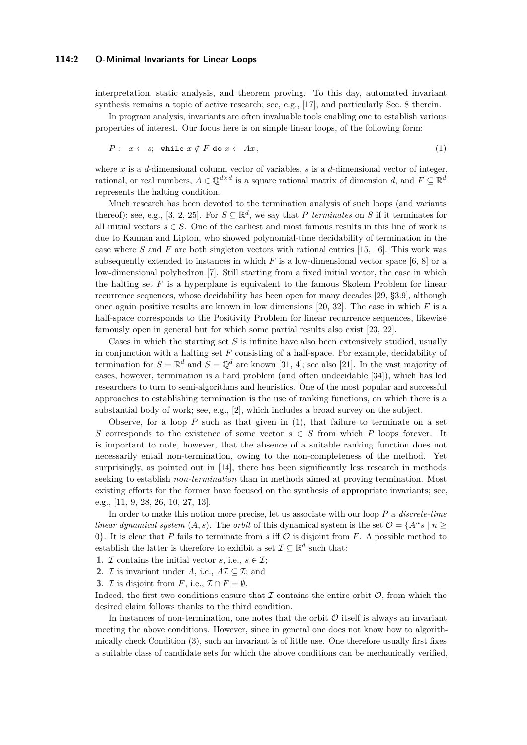#### **114:2 O-Minimal Invariants for Linear Loops**

interpretation, static analysis, and theorem proving. To this day, automated invariant synthesis remains a topic of active research; see, e.g., [\[17\]](#page-12-0), and particularly Sec. 8 therein.

In program analysis, invariants are often invaluable tools enabling one to establish various properties of interest. Our focus here is on simple linear loops, of the following form:

<span id="page-1-0"></span>
$$
P: x \leftarrow s; \text{ while } x \notin F \text{ do } x \leftarrow Ax,
$$
\n
$$
(1)
$$

where *x* is a *d*-dimensional column vector of variables, *s* is a *d*-dimensional vector of integer, rational, or real numbers,  $A \in \mathbb{Q}^{d \times d}$  is a square rational matrix of dimension *d*, and  $F \subseteq \mathbb{R}^d$ represents the halting condition.

Much research has been devoted to the termination analysis of such loops (and variants thereof); see, e.g., [\[3,](#page-12-1) [2,](#page-12-2) [25\]](#page-13-1). For  $S \subseteq \mathbb{R}^d$ , we say that *P terminates* on *S* if it terminates for all initial vectors  $s \in S$ . One of the earliest and most famous results in this line of work is due to Kannan and Lipton, who showed polynomial-time decidability of termination in the case where *S* and *F* are both singleton vectors with rational entries [\[15,](#page-12-3) [16\]](#page-12-4). This work was subsequently extended to instances in which  $F$  is a low-dimensional vector space  $[6, 8]$  $[6, 8]$  $[6, 8]$  or a low-dimensional polyhedron [\[7\]](#page-12-7). Still starting from a fixed initial vector, the case in which the halting set *F* is a hyperplane is equivalent to the famous Skolem Problem for linear recurrence sequences, whose decidability has been open for many decades [\[29,](#page-13-2) §3.9], although once again positive results are known in low dimensions [\[20,](#page-13-3) [32\]](#page-13-4). The case in which *F* is a half-space corresponds to the Positivity Problem for linear recurrence sequences, likewise famously open in general but for which some partial results also exist [\[23,](#page-13-5) [22\]](#page-13-6).

Cases in which the starting set *S* is infinite have also been extensively studied, usually in conjunction with a halting set *F* consisting of a half-space. For example, decidability of termination for  $S = \mathbb{R}^d$  and  $S = \mathbb{Q}^d$  are known [\[31,](#page-13-7) [4\]](#page-12-8); see also [\[21\]](#page-13-8). In the vast majority of cases, however, termination is a hard problem (and often undecidable [\[34\]](#page-13-9)), which has led researchers to turn to semi-algorithms and heuristics. One of the most popular and successful approaches to establishing termination is the use of ranking functions, on which there is a substantial body of work; see, e.g., [\[2\]](#page-12-2), which includes a broad survey on the subject.

Observe, for a loop  $P$  such as that given in  $(1)$ , that failure to terminate on a set *S* corresponds to the existence of some vector  $s \in S$  from which *P* loops forever. It is important to note, however, that the absence of a suitable ranking function does not necessarily entail non-termination, owing to the non-completeness of the method. Yet surprisingly, as pointed out in [\[14\]](#page-12-9), there has been significantly less research in methods seeking to establish *non-termination* than in methods aimed at proving termination. Most existing efforts for the former have focused on the synthesis of appropriate invariants; see, e.g., [\[11,](#page-12-10) [9,](#page-12-11) [28,](#page-13-10) [26,](#page-13-11) [10,](#page-12-12) [27,](#page-13-12) [13\]](#page-12-13).

In order to make this notion more precise, let us associate with our loop *P* a *discrete-time linear dynamical system*  $(A, s)$ . The *orbit* of this dynamical system is the set  $\mathcal{O} = \{A^n s \mid n \geq 0\}$ 0}. It is clear that  $P$  fails to terminate from  $s$  iff  $\mathcal O$  is disjoint from  $F$ . A possible method to establish the latter is therefore to exhibit a set  $\mathcal{I} \subseteq \mathbb{R}^d$  such that:

- **1.** *I* contains the initial vector *s*, i.e.,  $s \in \mathcal{I}$ ;
- **2.** *I* is invariant under *A*, i.e.,  $A\mathcal{I} \subseteq \mathcal{I}$ ; and
- **3.** *I* is disjoint from *F*, i.e.,  $\mathcal{I} \cap F = \emptyset$ .

Indeed, the first two conditions ensure that  $\mathcal I$  contains the entire orbit  $\mathcal O$ , from which the desired claim follows thanks to the third condition.

In instances of non-termination, one notes that the orbit  $\mathcal O$  itself is always an invariant meeting the above conditions. However, since in general one does not know how to algorithmically check Condition (3), such an invariant is of little use. One therefore usually first fixes a suitable class of candidate sets for which the above conditions can be mechanically verified,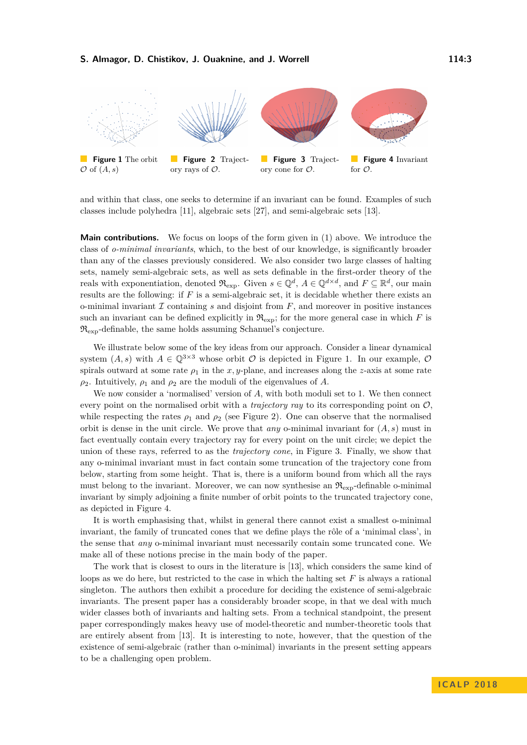<span id="page-2-0"></span>

and within that class, one seeks to determine if an invariant can be found. Examples of such classes include polyhedra [\[11\]](#page-12-10), algebraic sets [\[27\]](#page-13-12), and semi-algebraic sets [\[13\]](#page-12-13).

**Main contributions.** We focus on loops of the form given in [\(1\)](#page-1-0) above. We introduce the class of *o-minimal invariants*, which, to the best of our knowledge, is significantly broader than any of the classes previously considered. We also consider two large classes of halting sets, namely semi-algebraic sets, as well as sets definable in the first-order theory of the reals with exponentiation, denoted  $\mathfrak{R}_{\text{exp}}$ . Given  $s \in \mathbb{Q}^d$ ,  $A \in \mathbb{Q}^{d \times d}$ , and  $F \subseteq \mathbb{R}^d$ , our main results are the following: if *F* is a semi-algebraic set, it is decidable whether there exists an o-minimal invariant  $\mathcal I$  containing  $s$  and disjoint from  $F$ , and moreover in positive instances such an invariant can be defined explicitly in  $\mathfrak{R}_{\text{exp}}$ ; for the more general case in which *F* is  $\mathfrak{R}_{\rm exp}$ -definable, the same holds assuming Schanuel's conjecture.

We illustrate below some of the key ideas from our approach. Consider a linear dynamical system  $(A, s)$  with  $A \in \mathbb{Q}^{3 \times 3}$  whose orbit  $\mathcal O$  is depicted in Figure [1.](#page-2-0) In our example,  $\mathcal O$ spirals outward at some rate  $\rho_1$  in the *x*, *y*-plane, and increases along the *z*-axis at some rate  $\rho_2$ . Intuitively,  $\rho_1$  and  $\rho_2$  are the moduli of the eigenvalues of *A*.

We now consider a 'normalised' version of *A*, with both moduli set to 1. We then connect every point on the normalised orbit with a *trajectory ray* to its corresponding point on  $\mathcal{O}$ , while respecting the rates  $\rho_1$  and  $\rho_2$  (see Figure [2\)](#page-2-0). One can observe that the normalised orbit is dense in the unit circle. We prove that *any* o-minimal invariant for (*A, s*) must in fact eventually contain every trajectory ray for every point on the unit circle; we depict the union of these rays, referred to as the *trajectory cone*, in Figure [3.](#page-2-0) Finally, we show that any o-minimal invariant must in fact contain some truncation of the trajectory cone from below, starting from some height. That is, there is a uniform bound from which all the rays must belong to the invariant. Moreover, we can now synthesise an  $\mathfrak{R}_{\text{exp}}$ -definable o-minimal invariant by simply adjoining a finite number of orbit points to the truncated trajectory cone, as depicted in Figure [4.](#page-2-0)

It is worth emphasising that, whilst in general there cannot exist a smallest o-minimal invariant, the family of truncated cones that we define plays the rôle of a 'minimal class', in the sense that *any* o-minimal invariant must necessarily contain some truncated cone. We make all of these notions precise in the main body of the paper.

The work that is closest to ours in the literature is [\[13\]](#page-12-13), which considers the same kind of loops as we do here, but restricted to the case in which the halting set *F* is always a rational singleton. The authors then exhibit a procedure for deciding the existence of semi-algebraic invariants. The present paper has a considerably broader scope, in that we deal with much wider classes both of invariants and halting sets. From a technical standpoint, the present paper correspondingly makes heavy use of model-theoretic and number-theoretic tools that are entirely absent from [\[13\]](#page-12-13). It is interesting to note, however, that the question of the existence of semi-algebraic (rather than o-minimal) invariants in the present setting appears to be a challenging open problem.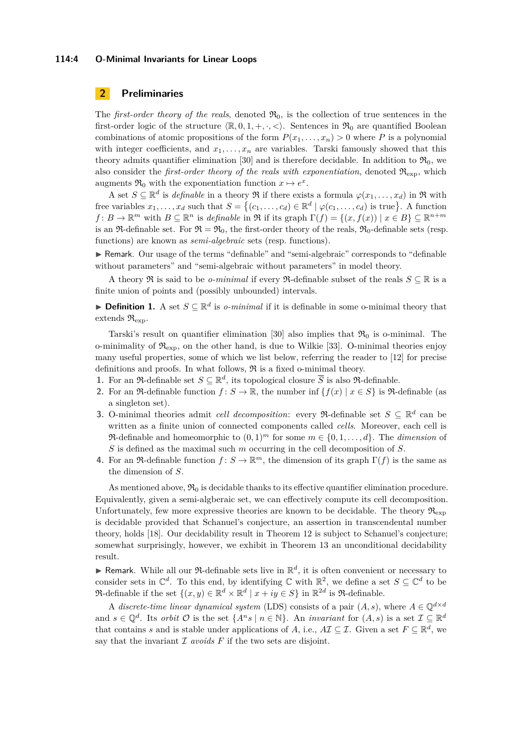#### **114:4 O-Minimal Invariants for Linear Loops**

# **2 Preliminaries**

The *first-order theory of the reals*, denoted  $\mathfrak{R}_0$ , is the collection of true sentences in the first-order logic of the structure  $\langle \mathbb{R}, 0, 1, +, \cdot, \langle \cdot \rangle$ . Sentences in  $\mathfrak{R}_0$  are quantified Boolean combinations of atomic propositions of the form  $P(x_1, \ldots, x_n) > 0$  where P is a polynomial with integer coefficients, and  $x_1, \ldots, x_n$  are variables. Tarski famously showed that this theory admits quantifier elimination [\[30\]](#page-13-13) and is therefore decidable. In addition to  $\mathfrak{R}_0$ , we also consider the *first-order theory of the reals with exponentiation*, denoted  $\mathfrak{R}_{\text{exp}}$ , which augments  $\Re_0$  with the exponentiation function  $x \mapsto e^x$ .

A set  $S \subseteq \mathbb{R}^d$  is *definable* in a theory R if there exists a formula  $\varphi(x_1, \ldots, x_d)$  in R with free variables  $x_1, \ldots, x_d$  such that  $S = \{(c_1, \ldots, c_d) \in \mathbb{R}^d \mid \varphi(c_1, \ldots, c_d) \text{ is true}\}.$  A function  $f: B \to \mathbb{R}^m$  with  $B \subseteq \mathbb{R}^n$  is *definable* in  $\Re$  if its graph  $\Gamma(f) = \{(x, f(x)) \mid x \in B\} \subseteq \mathbb{R}^{n+m}$ is an  $\mathfrak{R}_0$ -definable set. For  $\mathfrak{R} = \mathfrak{R}_0$ , the first-order theory of the reals,  $\mathfrak{R}_0$ -definable sets (resp. functions) are known as *semi-algebraic* sets (resp. functions).

I Remark. Our usage of the terms "definable" and "semi-algebraic" corresponds to "definable without parameters" and "semi-algebraic without parameters" in model theory.

A theory  $\Re$  is said to be *o-minimal* if every  $\Re$ -definable subset of the reals  $S \subseteq \mathbb{R}$  is a finite union of points and (possibly unbounded) intervals.

**► Definition 1.** A set  $S \subseteq \mathbb{R}^d$  is *o-minimal* if it is definable in some o-minimal theory that extends  $\mathfrak{R}_{\text{exp}}$ .

Tarski's result on quantifier elimination [\[30\]](#page-13-13) also implies that  $\mathfrak{R}_0$  is o-minimal. The o-minimality of  $\mathfrak{R}_{\text{exp}}$ , on the other hand, is due to Wilkie [\[33\]](#page-13-14). O-minimal theories enjoy many useful properties, some of which we list below, referring the reader to [\[12\]](#page-12-14) for precise definitions and proofs. In what follows,  $\Re$  is a fixed o-minimal theory.

- **1.** For an  $\mathfrak{R}$ -definable set  $S \subseteq \mathbb{R}^d$ , its topological closure  $\overline{S}$  is also  $\mathfrak{R}$ -definable.
- **2.** For an  $\Re$ -definable function  $f: S \to \mathbb{R}$ , the number inf  $\{f(x) | x \in S\}$  is  $\Re$ -definable (as a singleton set).
- **3.** O-minimal theories admit *cell decomposition*: every  $\Re$ -definable set  $S \subseteq \mathbb{R}^d$  can be written as a finite union of connected components called *cells*. Moreover, each cell is  $\mathfrak{R}\text{-}$ definable and homeomorphic to  $(0,1)^m$  for some  $m \in \{0,1,\ldots,d\}$ . The *dimension* of *S* is defined as the maximal such *m* occurring in the cell decomposition of *S*.
- <span id="page-3-0"></span>**4.** For an  $\mathfrak{R}$ -definable function  $f: S \to \mathbb{R}^m$ , the dimension of its graph  $\Gamma(f)$  is the same as the dimension of *S*.

As mentioned above,  $\mathfrak{R}_0$  is decidable thanks to its effective quantifier elimination procedure. Equivalently, given a semi-algberaic set, we can effectively compute its cell decomposition. Unfortunately, few more expressive theories are known to be decidable. The theory  $\Re_{\exp}$ is decidable provided that Schanuel's conjecture, an assertion in transcendental number theory, holds [\[18\]](#page-13-15). Our decidability result in Theorem [12](#page-10-0) is subject to Schanuel's conjecture; somewhat surprisingly, however, we exhibit in Theorem [13](#page-10-1) an unconditional decidability result.

**F** Remark. While all our  $\Re$ -definable sets live in  $\mathbb{R}^d$ , it is often convenient or necessary to consider sets in  $\mathbb{C}^d$ . To this end, by identifying  $\mathbb C$  with  $\mathbb R^2$ , we define a set  $S \subseteq \mathbb C^d$  to be  $\mathfrak{R}\text{-} \text{definable if the set } \{(x, y) \in \mathbb{R}^d \times \mathbb{R}^d \mid x + iy \in S\} \text{ in } \mathbb{R}^{2d} \text{ is } \mathfrak{R}\text{-} \text{definable.}$ 

A *discrete-time linear dynamical system* (LDS) consists of a pair  $(A, s)$ , where  $A \in \mathbb{Q}^{d \times d}$ and  $s \in \mathbb{Q}^d$ . Its *orbit*  $\mathcal{O}$  is the set  $\{A^n s \mid n \in \mathbb{N}\}$ . An *invariant* for  $(A, s)$  is a set  $\mathcal{I} \subseteq \mathbb{R}^d$ that contains *s* and is stable under applications of *A*, i.e.,  $A\mathcal{I} \subseteq \mathcal{I}$ . Given a set  $F \subseteq \mathbb{R}^d$ , we say that the invariant  $\mathcal I$  *avoids*  $F$  if the two sets are disjoint.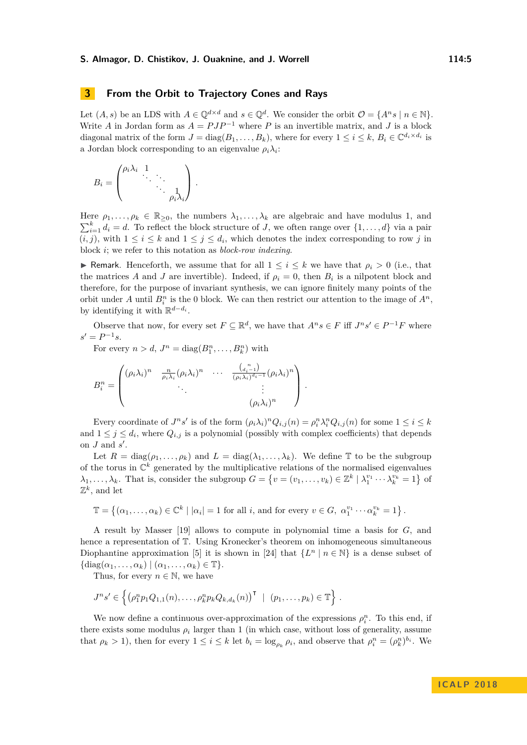### <span id="page-4-0"></span>**3 From the Orbit to Trajectory Cones and Rays**

Let  $(A, s)$  be an LDS with  $A \in \mathbb{Q}^{d \times d}$  and  $s \in \mathbb{Q}^d$ . We consider the orbit  $\mathcal{O} = \{A^n s \mid n \in \mathbb{N}\}.$ Write *A* in Jordan form as  $A = PJP^{-1}$  where *P* is an invertible matrix, and *J* is a block diagonal matrix of the form  $J = diag(B_1, \ldots, B_k)$ , where for every  $1 \leq i \leq k$ ,  $B_i \in \mathbb{C}^{d_i \times d_i}$  is a Jordan block corresponding to an eigenvalue  $\rho_i \lambda_i$ :

$$
B_i = \begin{pmatrix} \rho_i \lambda_i & 1 & & \\ & \ddots & \ddots & \\ & & \ddots & \\ & & & \rho_i \lambda_i \end{pmatrix}.
$$

Here  $\rho_1, \ldots, \rho_k \in \mathbb{R}_{\geq 0}$ , the numbers  $\lambda_1, \ldots, \lambda_k$  are algebraic and have modulus 1, and  $\sum_{i=1}^{k} d_i = d$ . To reflect the block structure of *J*, we often range over  $\{1, \ldots, d\}$  via a pair  $(i, j)$ , with  $1 \leq i \leq k$  and  $1 \leq j \leq d_i$ , which denotes the index corresponding to row *j* in block *i*; we refer to this notation as *block-row indexing*.

► Remark. Henceforth, we assume that for all  $1 \leq i \leq k$  we have that  $\rho_i > 0$  (i.e., that the matrices *A* and *J* are invertible). Indeed, if  $\rho_i = 0$ , then  $B_i$  is a nilpotent block and therefore, for the purpose of invariant synthesis, we can ignore finitely many points of the orbit under *A* until  $B_i^n$  is the 0 block. We can then restrict our attention to the image of  $A^n$ , by identifying it with  $\mathbb{R}^{d-d_i}$ .

Observe that now, for every set  $F \subseteq \mathbb{R}^d$ , we have that  $A^n s \in F$  iff  $J^n s' \in P^{-1}F$  where  $s' = P^{-1}s$ .

For every  $n > d$ ,  $J^n = \text{diag}(B_1^n, \ldots, B_k^n)$  with

$$
B_i^n = \begin{pmatrix} (\rho_i \lambda_i)^n & \frac{n}{\rho_i \lambda_i} (\rho_i \lambda_i)^n & \cdots & \frac{(a_i^n - 1)}{(\rho_i \lambda_i)^{d_i - 1}} (\rho_i \lambda_i)^n \\ \vdots & \vdots & \vdots \\ (\rho_i \lambda_i)^n & \cdots & (\rho_i \lambda_i)^n \end{pmatrix}.
$$

Every coordinate of  $J^n s'$  is of the form  $(\rho_i \lambda_i)^n Q_{i,j}(n) = \rho_i^n \lambda_i^n Q_{i,j}(n)$  for some  $1 \leq i \leq k$ and  $1 \leq j \leq d_i$ , where  $Q_{i,j}$  is a polynomial (possibly with complex coefficients) that depends on  $J$  and  $s'$ .

Let  $R = \text{diag}(\rho_1, \ldots, \rho_k)$  and  $L = \text{diag}(\lambda_1, \ldots, \lambda_k)$ . We define  $\mathbb T$  to be the subgroup of the torus in  $\mathbb{C}^k$  generated by the multiplicative relations of the normalised eigenvalues  $\lambda_1, \ldots, \lambda_k$ . That is, consider the subgroup  $G = \{v = (v_1, \ldots, v_k) \in \mathbb{Z}^k \mid \lambda_1^{v_1} \cdots \lambda_k^{v_k} = 1\}$  of  $\mathbb{Z}^k$ , and let

$$
\mathbb{T} = \left\{ (\alpha_1, \ldots, \alpha_k) \in \mathbb{C}^k \mid |\alpha_i| = 1 \text{ for all } i, \text{ and for every } v \in G, \ \alpha_1^{v_1} \cdots \alpha_k^{v_k} = 1 \right\}.
$$

A result by Masser [\[19\]](#page-13-16) allows to compute in polynomial time a basis for *G*, and hence a representation of T. Using Kronecker's theorem on inhomogeneous simultaneous Diophantine approximation [\[5\]](#page-12-15) it is shown in [\[24\]](#page-13-17) that  $\{L^n | n \in \mathbb{N}\}\$ is a dense subset of  $\{\text{diag}(\alpha_1,\ldots,\alpha_k) \mid (\alpha_1,\ldots,\alpha_k) \in \mathbb{T}\}.$ 

Thus, for every  $n \in \mathbb{N}$ , we have

$$
J^{n}s' \in \left\{ (\rho_{1}^{n}p_{1}Q_{1,1}(n), \ldots, \rho_{k}^{n}p_{k}Q_{k,d_{k}}(n))^{T} \mid (p_{1}, \ldots, p_{k}) \in \mathbb{T} \right\}.
$$

We now define a continuous over-approximation of the expressions  $\rho_i^n$ . To this end, if there exists some modulus  $\rho_i$  larger than 1 (in which case, without loss of generality, assume that  $\rho_k > 1$ , then for every  $1 \leq i \leq k$  let  $b_i = \log_{\rho_k} \rho_i$ , and observe that  $\rho_i^n = (\rho_k^n)^{b_i}$ . We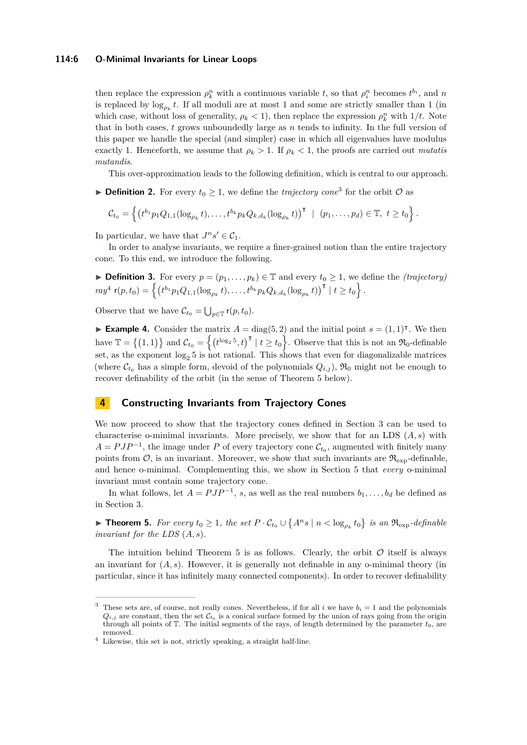#### **114:6 O-Minimal Invariants for Linear Loops**

then replace the expression  $\rho_k^n$  with a continuous variable *t*, so that  $\rho_i^n$  becomes  $t^{b_i}$ , and *n* is replaced by  $\log_{\rho_k} t$ . If all moduli are at most 1 and some are strictly smaller than 1 (in which case, without loss of generality,  $\rho_k < 1$ , then replace the expression  $\rho_k^n$  with  $1/t$ . Note that in both cases, *t* grows unboundedly large as *n* tends to infinity. In the full version of this paper we handle the special (and simpler) case in which all eigenvalues have modulus exactly 1. Henceforth, we assume that  $\rho_k > 1$ . If  $\rho_k < 1$ , the proofs are carried out *mutatis mutandis*.

This over-approximation leads to the following definition, which is central to our approach.

**Definition 2.** For every  $t_0 \geq 1$ , we define the *trajectory cone*<sup>[3](#page-5-0)</sup> for the orbit  $\mathcal{O}$  as

$$
C_{t_0} = \left\{ \left( t^{b_1} p_1 Q_{1,1} (\log_{\rho_k} t), \ldots, t^{b_k} p_k Q_{k,d_k} (\log_{\rho_k} t) \right)^\intercal \ | \ (p_1, \ldots, p_d) \in \mathbb{T}, \ t \ge t_0 \right\}.
$$

In particular, we have that  $J^n s' \in \mathcal{C}_1$ .

In order to analyse invariants, we require a finer-grained notion than the entire trajectory cone. To this end, we introduce the following.

$$
\blacktriangleright \text{Definition 3. For every } p = (p_1, \ldots, p_k) \in \mathbb{T} \text{ and every } t_0 \ge 1 \text{, we define the } (trajectory)
$$
  

$$
ray^4 \text{ r}(p, t_0) = \left\{ \left( t^{b_1} p_1 Q_{1,1} (\log_{p_k} t), \ldots, t^{b_k} p_k Q_{k,d_k} (\log_{p_k} t) \right)^\mathsf{T} \mid t \ge t_0 \right\}.
$$

Observe that we have  $\mathcal{C}_{t_0} = \bigcup_{p \in \mathbb{T}} \mathsf{r}(p, t_0)$ .

**Example 4.** Consider the matrix  $A = diag(5, 2)$  and the initial point  $s = (1, 1)^\intercal$ . We then have  $\mathbb{T} = \{(1,1)\}\$  and  $\mathcal{C}_{t_0} = \{(t^{\log_2 5}, t)^\mathsf{T} \mid t \geq t_0\}$ . Observe that this is not an  $\mathfrak{R}_0$ -definable set, as the exponent  $\log_2 5$  is not rational. This shows that even for diagonalizable matrices (where  $\mathcal{C}_{t_0}$  has a simple form, devoid of the polynomials  $Q_{i,j}$ ),  $\mathfrak{R}_0$  might not be enough to recover definability of the orbit (in the sense of Theorem [5](#page-5-2) below).

## **4 Constructing Invariants from Trajectory Cones**

We now proceed to show that the trajectory cones defined in Section [3](#page-4-0) can be used to characterise o-minimal invariants. More precisely, we show that for an LDS (*A, s*) with  $A = PJP^{-1}$ , the image under *P* of every trajectory cone  $\mathcal{C}_{t_0}$ , augmented with finitely many points from  $\mathcal{O}$ , is an invariant. Moreover, we show that such invariants are  $\mathfrak{R}_{\text{exp}}$ -definable, and hence o-minimal. Complementing this, we show in Section [5](#page-7-0) that *every* o-minimal invariant must contain some trajectory cone.

In what follows, let  $A = PJP^{-1}$ , *s*, as well as the real numbers  $b_1, \ldots, b_d$  be defined as in Section [3.](#page-4-0)

<span id="page-5-2"></span>▶ **Theorem 5.** For every  $t_0 \geq 1$ , the set  $P \cdot C_{t_0} \cup \{A^n s \mid n < \log_{\rho_k} t_0\}$  is an  $\Re_{\exp}$ -definable *invariant for the LDS* (*A, s*)*.*

The intuition behind Theorem [5](#page-5-2) is as follows. Clearly, the orbit  $\mathcal O$  itself is always an invariant for  $(A, s)$ . However, it is generally not definable in any o-minimal theory (in particular, since it has infinitely many connected components). In order to recover definability

<span id="page-5-0"></span><sup>&</sup>lt;sup>3</sup> These sets are, of course, not really cones. Nevertheless, if for all  $i$  we have  $b_i = 1$  and the polynomials  $Q_{i,j}$  are constant, then the set  $\mathcal{C}_{t_0}$  is a conical surface formed by the union of rays going from the origin through all points of  $T$ . The initial segments of the rays, of length determined by the parameter  $t_0$ , are removed.

<span id="page-5-1"></span> $4$  Likewise, this set is not, strictly speaking, a straight half-line.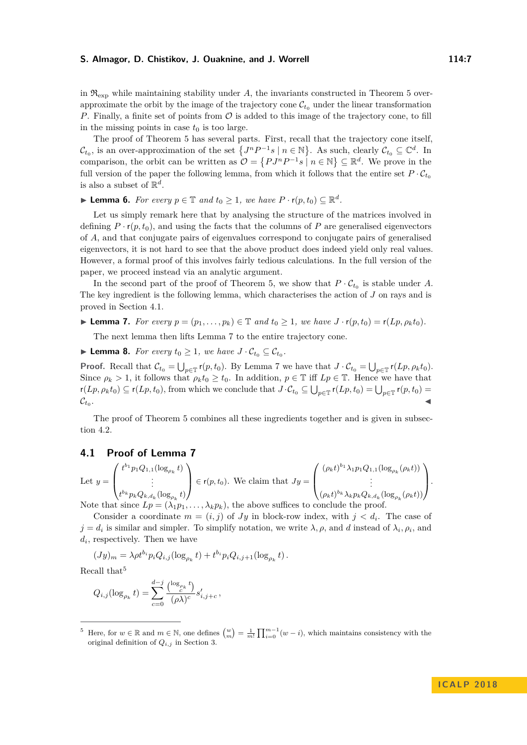in  $\mathfrak{R}_{\text{exp}}$  while maintaining stability under A, the invariants constructed in Theorem [5](#page-5-2) overapproximate the orbit by the image of the trajectory cone  $\mathcal{C}_{t_0}$  under the linear transformation *P*. Finally, a finite set of points from  $\mathcal O$  is added to this image of the trajectory cone, to fill in the missing points in case  $t_0$  is too large.

The proof of Theorem [5](#page-5-2) has several parts. First, recall that the trajectory cone itself,  $\mathcal{C}_{t_0}$ , is an over-approximation of the set  $\{J^nP^{-1}s \mid n \in \mathbb{N}\}\$ . As such, clearly  $\mathcal{C}_{t_0} \subseteq \mathbb{C}^d$ . In comparison, the orbit can be written as  $\mathcal{O} = \{PJ^nP^{-1}s \mid n \in \mathbb{N}\} \subseteq \mathbb{R}^d$ . We prove in the full version of the paper the following lemma, from which it follows that the entire set  $P \cdot C_{t_0}$ is also a subset of  $\mathbb{R}^d$ .

<span id="page-6-3"></span>▶ **Lemma 6.** *For every*  $p \in \mathbb{T}$  *and*  $t_0 \geq 1$ *, we have*  $P \cdot r(p, t_0) \subseteq \mathbb{R}^d$ *.* 

Let us simply remark here that by analysing the structure of the matrices involved in defining  $P \cdot r(p, t_0)$ , and using the facts that the columns of  $P$  are generalised eigenvectors of *A*, and that conjugate pairs of eigenvalues correspond to conjugate pairs of generalised eigenvectors, it is not hard to see that the above product does indeed yield only real values. However, a formal proof of this involves fairly tedious calculations. In the full version of the paper, we proceed instead via an analytic argument.

In the second part of the proof of Theorem [5,](#page-5-2) we show that  $P \cdot C_{t_0}$  is stable under *A*. The key ingredient is the following lemma, which characterises the action of *J* on rays and is proved in Section [4.1.](#page-6-0)

<span id="page-6-1"></span>► **Lemma 7.** *For every*  $p = (p_1, \ldots, p_k) \in \mathbb{T}$  *and*  $t_0 \geq 1$ *, we have*  $J \cdot r(p, t_0) = r(Lp, \rho_k t_0)$ *.* 

The next lemma then lifts Lemma [7](#page-6-1) to the entire trajectory cone.

<span id="page-6-4"></span>▶ **Lemma 8.** *For every*  $t_0 \geq 1$ *, we have*  $J \cdot C_{t_0} \subseteq C_{t_0}$ *.* 

**Proof.** Recall that  $\mathcal{C}_{t_0} = \bigcup_{p \in \mathbb{T}} r(p, t_0)$ . By Lemma [7](#page-6-1) we have that  $J \cdot \mathcal{C}_{t_0} = \bigcup_{p \in \mathbb{T}} r(Lp, \rho_k t_0)$ . Since  $\rho_k > 1$ , it follows that  $\rho_k t_0 \geq t_0$ . In addition,  $p \in \mathbb{T}$  iff  $Lp \in \mathbb{T}$ . Hence we have that  $r(Lp, \rho_k t_0) \subseteq r(Lp, t_0)$ , from which we conclude that  $J \cdot C_{t_0} \subseteq \bigcup_{p \in \mathbb{T}} r(Lp, t_0) = \bigcup_{p \in \mathbb{T}} r(p, t_0)$  $\mathcal{C}_{t_0}$ . . Julian Communication of the communication of the communication of the communication of the communication of the communication of the communication of the communication of the communication of the communication of the com

The proof of Theorem [5](#page-5-2) combines all these ingredients together and is given in subsection [4.2.](#page-7-1)

### <span id="page-6-0"></span>**4.1 Proof of Lemma [7](#page-6-1)**

Let  $y =$  $\sqrt{ }$  $\left\lfloor \right\rfloor$  $t^{b_1} p_1 Q_{1,1}(\log_{\rho_k} t)$ . . .  $t^{b_k} p_k Q_{k,d_k}(\log_{\rho_k} t)$  $\setminus$  $\in$  **r**(*p*, *t*<sub>0</sub>). We claim that *Jy* =  $\sqrt{ }$  $\overline{ }$  $(\rho_k t)^{b_1} \lambda_1 p_1 Q_{1,1}(\log_{\rho_k}(\rho_k t))$ . . .  $(\rho_k t)^{b_k} \lambda_k p_k Q_{k,d_k}(\log_{\rho_k}(\rho_k t))$  $\setminus$  $\vert \cdot \vert$ 

Note that since  $L_p = (\lambda_1 p_1, \ldots, \lambda_k p_k)$ , the above suffices to conclude the proof. Consider a coordinate  $m = (i, j)$  of *Jy* in block-row index, with  $j < d_i$ . The case of  $j = d_i$  is similar and simpler. To simplify notation, we write  $\lambda, \rho$ , and *d* instead of  $\lambda_i, \rho_i$ , and *di* , respectively. Then we have

 $(Jy)_m = \lambda \rho t^{b_i} p_i Q_{i,j} (\log_{\rho_k} t) + t^{b_i} p_i Q_{i,j+1} (\log_{\rho_k} t).$ 

Recall that<sup>[5](#page-6-2)</sup>

$$
Q_{i,j}(\log_{\rho_k} t) = \sum_{c=0}^{d-j} \frac{\binom{\log_{\rho_k} t}{c} s'_{i,j+c},
$$

<span id="page-6-2"></span><sup>&</sup>lt;sup>5</sup> Here, for  $w \in \mathbb{R}$  and  $m \in \mathbb{N}$ , one defines  $\binom{w}{m} = \frac{1}{m!} \prod_{i=0}^{m-1} (w-i)$ , which maintains consistency with the original definition of *Qi,j* in Section [3.](#page-4-0)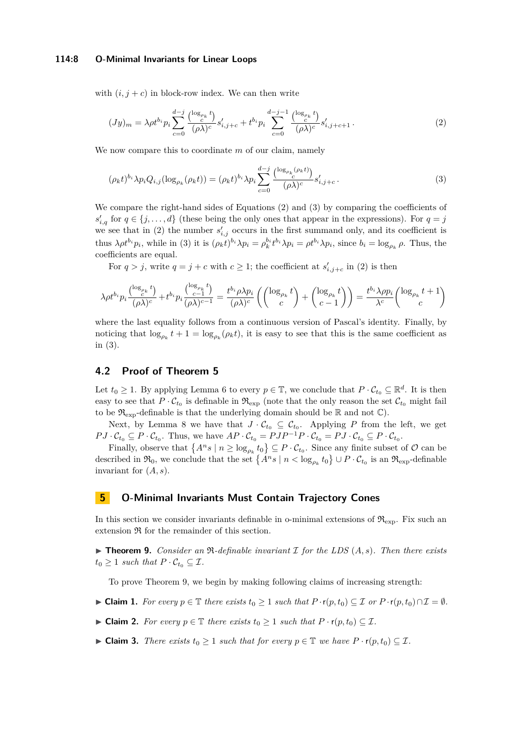#### **114:8 O-Minimal Invariants for Linear Loops**

with  $(i, j + c)$  in block-row index. We can then write

<span id="page-7-2"></span>
$$
(Jy)_m = \lambda \rho t^{b_i} p_i \sum_{c=0}^{d-j} \frac{\binom{\log_{\rho_k} t}{c} s'_{i,j+c} + t^{b_i} p_i \sum_{c=0}^{d-j-1} \frac{\binom{\log_{\rho_k} t}{c} s'_{i,j+c+1}}{(\rho \lambda)^c} s'_{i,j+c+1}.
$$
 (2)

We now compare this to coordinate *m* of our claim, namely

<span id="page-7-3"></span>
$$
(\rho_k t)^{b_i} \lambda p_i Q_{i,j} (\log_{\rho_k} (\rho_k t)) = (\rho_k t)^{b_i} \lambda p_i \sum_{c=0}^{d-j} \frac{\binom{\log_{\rho_k} (\rho_k t)}{c}}{(\rho \lambda)^c} s'_{i,j+c}.
$$
\n
$$
(3)
$$

We compare the right-hand sides of Equations [\(2\)](#page-7-2) and [\(3\)](#page-7-3) by comparing the coefficients of  $s'_{i,q}$  for  $q \in \{j,\ldots,d\}$  (these being the only ones that appear in the expressions). For  $q = j$ we see that in [\(2\)](#page-7-2) the number  $s'_{i,j}$  occurs in the first summand only, and its coefficient is thus  $\lambda \rho t^{b_i} p_i$ , while in [\(3\)](#page-7-3) it is  $(\rho_k t)^{b_i} \lambda p_i = \rho_k^{b_i} t^{b_i} \lambda p_i = \rho t^{b_i} \lambda p_i$ , since  $b_i = \log_{\rho_k} \rho$ . Thus, the coefficients are equal.

For  $q > j$ , write  $q = j + c$  with  $c \geq 1$ ; the coefficient at  $s'_{i,j+c}$  in [\(2\)](#page-7-2) is then

$$
\lambda \rho t^{b_i} p_i \frac{\left(\log_{\rho_k} t\right)}{(\rho \lambda)^c} + t^{b_i} p_i \frac{\left(\log_{\rho_k} t\right)}{(\rho \lambda)^{c-1}} = \frac{t^{b_i} \rho \lambda p_i}{(\rho \lambda)^c} \left( \binom{\log_{\rho_k} t}{c} + \binom{\log_{\rho_k} t}{c-1} \right) = \frac{t^{b_i} \lambda \rho p_i}{\lambda^c} \binom{\log_{\rho_k} t + 1}{c}
$$

where the last equality follows from a continuous version of Pascal's identity. Finally, by noticing that  $\log_{\rho_k} t + 1 = \log_{\rho_k}(\rho_k t)$ , it is easy to see that this is the same coefficient as in [\(3\)](#page-7-3).

#### <span id="page-7-1"></span>**4.2 Proof of Theorem [5](#page-5-2)**

Let  $t_0 \geq 1$ . By applying Lemma [6](#page-6-3) to every  $p \in \mathbb{T}$ , we conclude that  $P \cdot C_{t_0} \subseteq \mathbb{R}^d$ . It is then easy to see that  $P \cdot C_{t_0}$  is definable in  $\mathfrak{R}_{\exp}$  (note that the only reason the set  $C_{t_0}$  might fail to be  $\mathfrak{R}_{\text{exp}}$ -definable is that the underlying domain should be  $\mathbb R$  and not  $\mathbb C$ ).

Next, by Lemma [8](#page-6-4) we have that  $J \cdot C_{t_0} \subseteq C_{t_0}$ . Applying P from the left, we get  $PJ \cdot C_{t_0} \subseteq P \cdot C_{t_0}$ . Thus, we have  $AP \cdot C_{t_0} = PJP^{-1}P \cdot C_{t_0} = PJ \cdot C_{t_0} \subseteq P \cdot C_{t_0}$ .

Finally, observe that  $\{A^n s \mid n \ge \log_{\rho_k} t_0\} \subseteq P \cdot C_{t_0}$ . Since any finite subset of  $\mathcal{O}$  can be described in  $\mathfrak{R}_0$ , we conclude that the set  $\{A^n s \mid n < \log_{\rho_k} t_0\} \cup P \cdot C_{t_0}$  is an  $\mathfrak{R}_{\exp}$ -definable invariant for (*A, s*).

## <span id="page-7-0"></span>**5 O-Minimal Invariants Must Contain Trajectory Cones**

In this section we consider invariants definable in o-minimal extensions of  $\mathfrak{R}_{\text{exp}}$ . Fix such an extension R for the remainder of this section.

<span id="page-7-4"></span> $\triangleright$  **Theorem 9.** *Consider an*  $\Re$ -definable invariant  $\Im$  for the LDS  $(A, s)$ . Then there exists  $t_0 \geq 1$  *such that*  $P \cdot C_{t_0} \subseteq \mathcal{I}$ *.* 

To prove Theorem [9,](#page-7-4) we begin by making following claims of increasing strength:

- <span id="page-7-5"></span> $\blacktriangleright$  **Claim 1.** For every  $p \in \mathbb{T}$  there exists  $t_0 \geq 1$  such that  $P \cdot r(p, t_0) \subseteq \mathcal{I}$  or  $P \cdot r(p, t_0) \cap \mathcal{I} = \emptyset$ .
- <span id="page-7-6"></span> $\blacktriangleright$  **Claim 2.** *For every*  $p \in \mathbb{T}$  *there exists*  $t_0 \geq 1$  *such that*  $P \cdot r(p, t_0) \subseteq \mathcal{I}$ *.*
- <span id="page-7-7"></span>► Claim 3. *There exists*  $t_0 \geq 1$  *such that for every*  $p \in \mathbb{T}$  *we have*  $P \cdot r(p, t_0) \subseteq \mathcal{I}$ *.*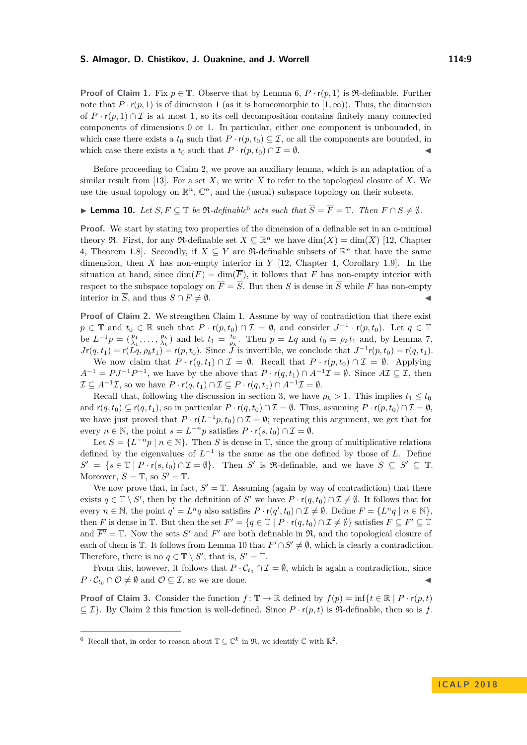**Proof of Claim [1.](#page-7-5)** Fix  $p \in \mathbb{T}$ . Observe that by Lemma [6,](#page-6-3)  $P \cdot r(p, 1)$  is  $\mathbb{R}$ -definable. Further note that  $P \cdot r(p, 1)$  is of dimension 1 (as it is homeomorphic to  $(1, \infty)$ ). Thus, the dimension of  $P \cdot r(p, 1) \cap \mathcal{I}$  is at most 1, so its cell decomposition contains finitely many connected components of dimensions 0 or 1. In particular, either one component is unbounded, in which case there exists a  $t_0$  such that  $P \cdot r(p, t_0) \subseteq \mathcal{I}$ , or all the components are bounded, in which case there exists a  $t_0$  such that  $P \cdot r(p, t_0) \cap \mathcal{I} = \emptyset$ .

Before proceeding to Claim [2,](#page-7-6) we prove an auxiliary lemma, which is an adaptation of a similar result from [\[13\]](#page-12-13). For a set X, we write  $\overline{X}$  to refer to the topological closure of X. We use the usual topology on  $\mathbb{R}^n$ ,  $\mathbb{C}^n$ , and the (usual) subspace topology on their subsets.

<span id="page-8-1"></span>▶ **Lemma 10.** *Let*  $S, F \subseteq \mathbb{T}$  *be*  $\Re$ *-definable*<sup>[6](#page-8-0)</sup> *sets such that*  $\overline{S} = \overline{F} = \mathbb{T}$ *. Then*  $F \cap S \neq \emptyset$ *.* 

**Proof.** We start by stating two properties of the dimension of a definable set in an o-minimal theory R. First, for any R-definable set  $X \subseteq \mathbb{R}^n$  we have  $\dim(X) = \dim(\overline{X})$  [\[12,](#page-12-14) Chapter 4, Theorem 1.8. Secondly, if  $X \subseteq Y$  are  $\Re$ -definable subsets of  $\mathbb{R}^n$  that have the same dimension, then *X* has non-empty interior in *Y* [\[12,](#page-12-14) Chapter 4, Corollary 1.9]. In the situation at hand, since  $\dim(F) = \dim(\overline{F})$ , it follows that *F* has non-empty interior with respect to the subspace topology on  $\overline{F} = \overline{S}$ . But then *S* is dense in  $\overline{S}$  while *F* has non-empty interior in  $\overline{S}$ , and thus  $S \cap F \neq \emptyset$ .

**Proof of Claim [2.](#page-7-6)** We strengthen Claim [1.](#page-7-5) Assume by way of contradiction that there exist  $p \in \mathbb{T}$  and  $t_0 \in \mathbb{R}$  such that  $P \cdot r(p, t_0) \cap \mathcal{I} = \emptyset$ , and consider  $J^{-1} \cdot r(p, t_0)$ . Let  $q \in \mathbb{T}$ be  $L^{-1}p = (\frac{p_1}{\lambda_1}, \ldots, \frac{p_k}{\lambda_k})$  and let  $t_1 = \frac{t_0}{\rho_k}$ . Then  $p = Lq$  and  $t_0 = \rho_k t_1$  and, by Lemma [7,](#page-6-1)  $J\mathbf{r}(q,t_1) = \mathbf{r}(L\hat{q}, \rho_k t_1) = \mathbf{r}(p,t_0)$ . Since *J* is invertible, we conclude that  $J^{-1}\mathbf{r}(p,t_0) = \mathbf{r}(q,t_1)$ .

We now claim that  $P \cdot r(q, t_1) \cap \mathcal{I} = \emptyset$ . Recall that  $P \cdot r(p, t_0) \cap \mathcal{I} = \emptyset$ . Applying  $A^{-1} = PJ^{-1}P^{-1}$ , we have by the above that  $P \cdot r(q, t_1) \cap A^{-1}\mathcal{I} = \emptyset$ . Since  $A\mathcal{I} \subseteq \mathcal{I}$ , then  $\mathcal{I} \subseteq A^{-1}\mathcal{I}$ , so we have  $P \cdot \mathsf{r}(q, t_1) \cap \mathcal{I} \subseteq P \cdot \mathsf{r}(q, t_1) \cap A^{-1}\mathcal{I} = \emptyset$ .

Recall that, following the discussion in section [3,](#page-4-0) we have  $\rho_k > 1$ . This implies  $t_1 \leq t_0$ and  $r(q, t_0) \subseteq r(q, t_1)$ , so in particular  $P \cdot r(q, t_0) \cap \mathcal{I} = \emptyset$ . Thus, assuming  $P \cdot r(p, t_0) \cap \mathcal{I} = \emptyset$ , we have just proved that  $P \cdot r(L^{-1}p, t_0) \cap \mathcal{I} = \emptyset$ ; repeating this argument, we get that for every  $n \in \mathbb{N}$ , the point  $s = L^{-n}p$  satisfies  $P \cdot \mathsf{r}(s, t_0) \cap \mathcal{I} = \emptyset$ .

Let  $S = \{L^{-n}p \mid n \in \mathbb{N}\}\$ . Then *S* is dense in  $\mathbb{T}$ , since the group of multiplicative relations defined by the eigenvalues of  $L^{-1}$  is the same as the one defined by those of *L*. Define  $S' = \{s \in \mathbb{T} \mid P \cdot r(s, t_0) \cap \mathcal{I} = \emptyset\}$ . Then *S*' is R-definable, and we have  $S \subseteq S' \subseteq \mathbb{T}$ . Moreover,  $\overline{S} = \mathbb{T}$ , so  $\overline{S'} = \mathbb{T}$ .

We now prove that, in fact,  $S' = T$ . Assuming (again by way of contradiction) that there exists  $q \in \mathbb{T} \setminus S'$ , then by the definition of  $S'$  we have  $P \cdot r(q, t_0) \cap \mathcal{I} \neq \emptyset$ . It follows that for every  $n \in \mathbb{N}$ , the point  $q' = L^n q$  also satisfies  $P \cdot r(q', t_0) \cap \mathcal{I} \neq \emptyset$ . Define  $F = \{L^n q \mid n \in \mathbb{N}\},$ then *F* is dense in  $\mathbb{T}$ . But then the set  $F' = \{q \in \mathbb{T} \mid P \cdot r(q, t_0) \cap \mathcal{I} \neq \emptyset\}$  satisfies  $F \subseteq F' \subseteq \mathbb{T}$ and  $\overline{F'} = \mathbb{T}$ . Now the sets *S'* and  $F'$  are both definable in  $\mathfrak{R}$ , and the topological closure of each of them is  $\mathbb{T}$ . It follows from Lemma [10](#page-8-1) that  $F' \cap S' \neq \emptyset$ , which is clearly a contradiction. Therefore, there is no  $q \in \mathbb{T} \setminus S'$ ; that is,  $S' = \mathbb{T}$ .

From this, however, it follows that  $P \cdot C_{t_0} \cap \mathcal{I} = \emptyset$ , which is again a contradiction, since  $P \cdot C_{t_0} \cap \mathcal{O} \neq \emptyset$  and  $\mathcal{O} \subseteq \mathcal{I}$ , so we are done.

**Proof of Claim [3.](#page-7-7)** Consider the function  $f: \mathbb{T} \to \mathbb{R}$  defined by  $f(p) = \inf\{t \in \mathbb{R} \mid P \cdot r(p, t)\}$  $\subset \mathcal{I}$ . By Claim [2](#page-7-6) this function is well-defined. Since  $P \cdot r(p, t)$  is  $\Re$ -definable, then so is f.

<span id="page-8-0"></span><sup>&</sup>lt;sup>6</sup> Recall that, in order to reason about  $\mathbb{T} \subseteq \mathbb{C}^k$  in  $\mathfrak{R}$ , we identify  $\mathbb{C}$  with  $\mathbb{R}^2$ .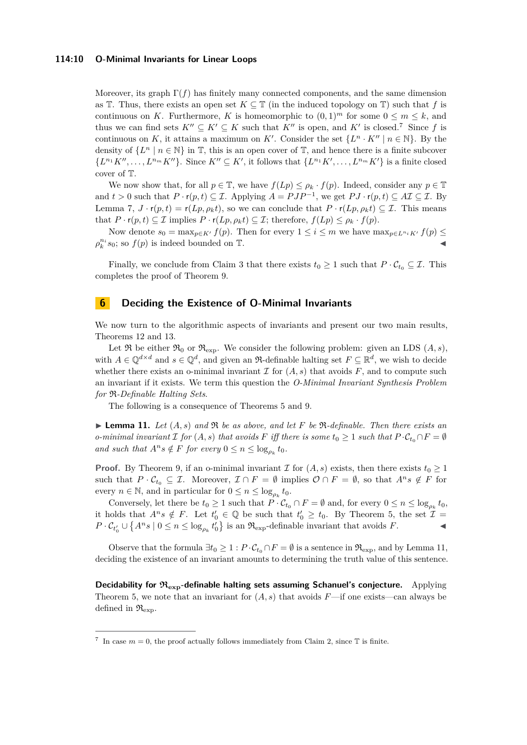#### **114:10 O-Minimal Invariants for Linear Loops**

Moreover, its graph  $\Gamma(f)$  has finitely many connected components, and the same dimension as T. Thus, there exists an open set  $K \subseteq \mathbb{T}$  (in the induced topology on  $\mathbb{T}$ ) such that f is continuous on *K*. Furthermore, *K* is homeomorphic to  $(0,1)^m$  for some  $0 \leq m \leq k$ , and thus we can find sets  $K'' \subseteq K' \subseteq K$  such that  $K''$  is open, and  $K'$  is closed.<sup>[7](#page-9-0)</sup> Since f is continuous on *K*, it attains a maximum on *K'*. Consider the set  $\{L^n \cdot K'' \mid n \in \mathbb{N}\}\.$  By the density of  $\{L^n \mid n \in \mathbb{N}\}\$  in  $\mathbb{T}$ , this is an open cover of  $\mathbb{T}$ , and hence there is a finite subcover  $\{L^{n_1}K''$ , ...,  $L^{n_m}K''\}$ . Since  $K'' \subseteq K'$ , it follows that  $\{L^{n_1}K'$ , ...,  $L^{n_m}K'\}$  is a finite closed cover of T.

We now show that, for all  $p \in \mathbb{T}$ , we have  $f(Lp) \leq \rho_k \cdot f(p)$ . Indeed, consider any  $p \in \mathbb{T}$ and  $t > 0$  such that  $P \cdot r(p, t) \subseteq \mathcal{I}$ . Applying  $A = PJP^{-1}$ , we get  $PJ \cdot r(p, t) \subseteq AT \subseteq \mathcal{I}$ . By Lemma [7,](#page-6-1)  $J \cdot r(p,t) = r(Lp, \rho_k t)$ , so we can conclude that  $P \cdot r(Lp, \rho_k t) \subseteq \mathcal{I}$ . This means that  $P \cdot r(p, t) \subseteq \mathcal{I}$  implies  $P \cdot r(Lp, \rho_k t) \subseteq \mathcal{I}$ ; therefore,  $f(Lp) \leq \rho_k \cdot f(p)$ .

Now denote  $s_0 = \max_{p \in K'} f(p)$ . Then for every  $1 \leq i \leq m$  we have  $\max_{p \in L^n} f(p) \leq$  $\rho_k^{n_i} s_0$ ; so  $f(p)$  is indeed bounded on T.

Finally, we conclude from Claim [3](#page-7-7) that there exists  $t_0 \geq 1$  such that  $P \cdot C_{t_0} \subseteq \mathcal{I}$ . This completes the proof of Theorem [9.](#page-7-4)

### **6 Deciding the Existence of O-Minimal Invariants**

We now turn to the algorithmic aspects of invariants and present our two main results, Theorems [12](#page-10-0) and [13.](#page-10-1)

Let  $\Re$  be either  $\Re_0$  or  $\Re_{\exp}$ . We consider the following problem: given an LDS  $(A, s)$ , with  $A \in \mathbb{Q}^{d \times d}$  and  $s \in \mathbb{Q}^d$ , and given an R-definable halting set  $F \subseteq \mathbb{R}^d$ , we wish to decide whether there exists an o-minimal invariant  $\mathcal I$  for  $(A, s)$  that avoids  $F$ , and to compute such an invariant if it exists. We term this question the *O-Minimal Invariant Synthesis Problem for* R*-Definable Halting Sets*.

The following is a consequence of Theorems [5](#page-5-2) and [9.](#page-7-4)

<span id="page-9-1"></span> $\blacktriangleright$  **Lemma 11.** Let  $(A, s)$  and  $\Re$  be as above, and let F be  $\Re$ -definable. Then there exists an *o-minimal invariant*  $\mathcal{I}$  *for*  $(A, s)$  *that avoids*  $F$  *iff there is some*  $t_0 \geq 1$  *such that*  $P \cdot C_{t_0} \cap F = \emptyset$ *and such that*  $A^n s \notin F$  *for every*  $0 \le n \le \log_{\rho_k} t_0$ *.* 

**Proof.** By Theorem [9,](#page-7-4) if an o-minimal invariant  $\mathcal I$  for  $(A, s)$  exists, then there exists  $t_0 \geq 1$ such that  $P \cdot C_{t_0} \subseteq \mathcal{I}$ . Moreover,  $\mathcal{I} \cap F = \emptyset$  implies  $\mathcal{O} \cap F = \emptyset$ , so that  $A^n s \notin F$  for every  $n \in \mathbb{N}$ , and in particular for  $0 \leq n \leq \log_{\rho_k} t_0$ .

Conversely, let there be  $t_0 \geq 1$  such that  $P \cdot C_{t_0} \cap F = \emptyset$  and, for every  $0 \leq n \leq \log_{\rho_k} t_0$ , it holds that  $A^n s \notin F$ . Let  $t'_0 \in \mathbb{Q}$  be such that  $t'_0 \geq t_0$ . By Theorem [5,](#page-5-2) the set  $\mathcal{I} =$  $P \cdot C_{t'_0} \cup \{A^n s \mid 0 \le n \le \log_{\rho_k} t'_0\}$  is an  $\Re_{\exp}$ -definable invariant that avoids *F*.

Observe that the formula  $\exists t_0 \geq 1 : P \cdot C_{t_0} \cap F = \emptyset$  is a sentence in  $\mathfrak{R}_{\text{exp}}$ , and by Lemma [11,](#page-9-1) deciding the existence of an invariant amounts to determining the truth value of this sentence.

**Decidability for** R**exp-definable halting sets assuming Schanuel's conjecture.** Applying Theorem [5,](#page-5-2) we note that an invariant for  $(A, s)$  that avoids  $F$ —if one exists—can always be defined in  $\mathfrak{R}_{\text{exp}}$ .

<span id="page-9-0"></span><sup>&</sup>lt;sup>7</sup> In case  $m = 0$ , the proof actually follows immediately from Claim [2,](#page-7-6) since  $\mathbb T$  is finite.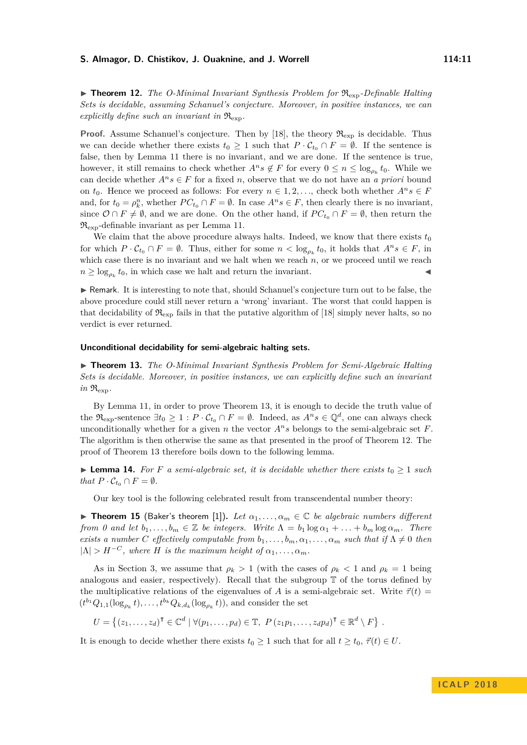<span id="page-10-0"></span>**Proof.** Assume Schanuel's conjecture. Then by [\[18\]](#page-13-15), the theory  $\mathfrak{R}_{\text{exp}}$  is decidable. Thus we can decide whether there exists  $t_0 \geq 1$  such that  $P \cdot C_{t_0} \cap F = \emptyset$ . If the sentence is false, then by Lemma [11](#page-9-1) there is no invariant, and we are done. If the sentence is true, however, it still remains to check whether  $A^n s \notin F$  for every  $0 \leq n \leq \log_{\rho_k} t_0$ . While we can decide whether  $A^n s \in F$  for a fixed *n*, observe that we do not have an *a priori* bound on  $t_0$ . Hence we proceed as follows: For every  $n \in 1, 2, \ldots$ , check both whether  $A^n s \in F$ and, for  $t_0 = \rho_k^n$ , whether  $PC_{t_0} \cap F = \emptyset$ . In case  $A^n s \in F$ , then clearly there is no invariant, since  $\mathcal{O} \cap F \neq \emptyset$ , and we are done. On the other hand, if  $PC_{t_0} \cap F = \emptyset$ , then return the  $\mathfrak{R}_{\text{exp}}$ -definable invariant as per Lemma [11.](#page-9-1)

We claim that the above procedure always halts. Indeed, we know that there exists  $t_0$ for which  $P \cdot C_{t_0} \cap F = \emptyset$ . Thus, either for some  $n < \log_{\rho_k} t_0$ , it holds that  $A^n s \in F$ , in which case there is no invariant and we halt when we reach *n*, or we proceed until we reach  $n \geq \log_{\rho_k} t_0$ , in which case we halt and return the invariant.

 $\triangleright$  Remark. It is interesting to note that, should Schanuel's conjecture turn out to be false, the above procedure could still never return a 'wrong' invariant. The worst that could happen is that decidability of  $\mathfrak{R}_{\text{exp}}$  fails in that the putative algorithm of [\[18\]](#page-13-15) simply never halts, so no verdict is ever returned.

#### **Unconditional decidability for semi-algebraic halting sets.**

<span id="page-10-1"></span>▶ **Theorem 13.** *The O-Minimal Invariant Synthesis Problem for Semi-Algebraic Halting Sets is decidable. Moreover, in positive instances, we can explicitly define such an invariant*  $in$   $\mathfrak{R}_{\mathrm{exp}}$ .

By Lemma [11,](#page-9-1) in order to prove Theorem [13,](#page-10-1) it is enough to decide the truth value of the  $\mathfrak{R}_{\text{exp}}$ -sentence  $\exists t_0 \geq 1 : P \cdot \mathcal{C}_{t_0} \cap F = \emptyset$ . Indeed, as  $A^n s \in \mathbb{Q}^d$ , one can always check unconditionally whether for a given *n* the vector  $A^n s$  belongs to the semi-algebraic set  $F$ . The algorithm is then otherwise the same as that presented in the proof of Theorem [12.](#page-10-0) The proof of Theorem [13](#page-10-1) therefore boils down to the following lemma.

► **Lemma 14.** For *F* a semi-algebraic set, it is decidable whether there exists  $t_0 \geq 1$  such *that*  $P \cdot C_{t_0} \cap F = \emptyset$ *.* 

Our key tool is the following celebrated result from transcendental number theory:

**Figure 15** (Baker's theorem [\[1\]](#page-12-16)). Let  $\alpha_1, \ldots, \alpha_m \in \mathbb{C}$  be algebraic numbers different *from 0 and let*  $b_1, \ldots, b_m \in \mathbb{Z}$  *be integers. Write*  $\Lambda = b_1 \log \alpha_1 + \ldots + b_m \log \alpha_m$ . There *exists a number C effectively computable from*  $b_1, \ldots, b_m, \alpha_1, \ldots, \alpha_m$  *such that if*  $\Lambda \neq 0$  *then*  $|\Lambda| > H^{-C}$ , where *H* is the maximum height of  $\alpha_1, \ldots, \alpha_m$ .

As in Section [3,](#page-4-0) we assume that  $\rho_k > 1$  (with the cases of  $\rho_k < 1$  and  $\rho_k = 1$  being analogous and easier, respectively). Recall that the subgroup T of the torus defined by the multiplicative relations of the eigenvalues of *A* is a semi-algebraic set. Write  $\vec{\tau}(t)$  =  $(t^{b_1}Q_{1,1}(\log_{\rho_k}t),\ldots,t^{b_k}Q_{k,d_k}(\log_{\rho_k}t))$ , and consider the set

$$
U = \left\{ (z_1, \ldots, z_d)^\mathsf{T} \in \mathbb{C}^d \mid \forall (p_1, \ldots, p_d) \in \mathbb{T}, \ P\left(z_1p_1, \ldots, z_dp_d\right)^\mathsf{T} \in \mathbb{R}^d \setminus F \right\}.
$$

It is enough to decide whether there exists  $t_0 \geq 1$  such that for all  $t \geq t_0$ ,  $\vec{\tau}(t) \in U$ .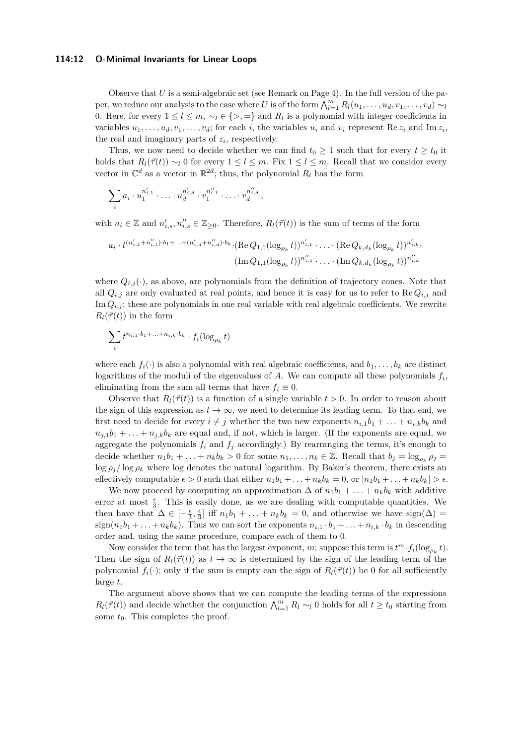#### **114:12 O-Minimal Invariants for Linear Loops**

Observe that *U* is a semi-algebraic set (see Remark on Page [4\)](#page-3-0). In the full version of the paper, we reduce our analysis to the case where *U* is of the form  $\bigwedge_{l=1}^{m} R_l(u_1, \ldots, u_d, v_1, \ldots, v_d) \sim_l$ 0. Here, for every  $1 \leq l \leq m$ ,  $\sim_l \in \{>, =\}$  and  $R_l$  is a polynomial with integer coefficients in variables  $u_1, \ldots, u_d, v_1, \ldots, v_d$ ; for each *i*, the variables  $u_i$  and  $v_i$  represent Re  $z_i$  and Im  $z_i$ , the real and imaginary parts of  $z_i$ , respectively.

Thus, we now need to decide whether we can find  $t_0 \geq 1$  such that for every  $t \geq t_0$  it holds that  $R_l(\vec{\tau}(t)) \sim_l 0$  for every  $1 \leq l \leq m$ . Fix  $1 \leq l \leq m$ . Recall that we consider every vector in  $\mathbb{C}^d$  as a vector in  $\mathbb{R}^{2d}$ ; thus, the polynomial  $R_l$  has the form

$$
\sum_i a_i \cdot u_1^{n'_{i,1}} \cdot \ldots \cdot u_d^{n'_{i,d}} \cdot v_1^{n''_{i,1}} \cdot \ldots \cdot v_d^{n''_{i,d}},
$$

with  $a_i \in \mathbb{Z}$  and  $n'_{i,s}, n''_{i,s} \in \mathbb{Z}_{\geq 0}$ . Therefore,  $R_l(\vec{\tau}(t))$  is the sum of terms of the form

$$
a_i \cdot t^{(n'_{i,1}+n''_{i,1})\cdot b_1+\ldots+(n'_{i,d}+n''_{i,d})\cdot b_k} \cdot (\text{Re }Q_{1,1}(\log_{\rho_k}t))^{n'_{i,1}} \cdot \ldots \cdot (\text{Re }Q_{k,d_k}(\log_{\rho_k}t))^{n'_{i,k}} \cdot \ldots \cdot (\text{Im }Q_{k,d_k}(\log_{\rho_k}t))^{n''_{i,k}}
$$

$$
(\text{Im }Q_{1,1}(\log_{\rho_k}t))^{n''_{i,1}} \cdot \ldots \cdot (\text{Im }Q_{k,d_k}(\log_{\rho_k}t))^{n''_{i,k}}
$$

where  $Q_{i,j}(\cdot)$ , as above, are polynomials from the definition of trajectory cones. Note that all  $Q_{i,j}$  are only evaluated at real points, and hence it is easy for us to refer to  $\text{Re } Q_{i,j}$  and Im  $Q_{i,j}$ ; these are polynomials in one real variable with real algebraic coefficients. We rewrite  $R_l(\vec{\tau}(t))$  in the form

$$
\sum_i t^{n_{i,1}\cdot b_1+\ldots+n_{i,k}\cdot b_k}\cdot f_i(\log_{\rho_k}t)
$$

where each  $f_i(\cdot)$  is also a polynomial with real algebraic coefficients, and  $b_1, \ldots, b_k$  are distinct logarithms of the moduli of the eigenvalues of  $A$ . We can compute all these polynomials  $f_i$ , eliminating from the sum all terms that have  $f_i \equiv 0$ .

Observe that  $R_l(\vec{r}(t))$  is a function of a single variable  $t > 0$ . In order to reason about the sign of this expression as  $t \to \infty$ , we need to determine its leading term. To that end, we first need to decide for every  $i \neq j$  whether the two new exponents  $n_{i,1}b_1 + \ldots + n_{i,k}b_k$  and  $n_{i,1}b_1 + \ldots + n_{i,k}b_k$  are equal and, if not, which is larger. (If the exponents are equal, we aggregate the polynomials  $f_i$  and  $f_j$  accordingly.) By rearranging the terms, it's enough to decide whether  $n_1b_1 + \ldots + n_kb_k > 0$  for some  $n_1, \ldots, n_k \in \mathbb{Z}$ . Recall that  $b_j = \log_{\rho_k} \rho_j =$  $\log \rho_i / \log \rho_k$  where  $\log$  denotes the natural logarithm. By Baker's theorem, there exists an effectively computable  $\epsilon > 0$  such that either  $n_1b_1 + \ldots + n_kb_k = 0$ , or  $|n_1b_1 + \ldots + n_kb_k| > \epsilon$ .

We now proceed by computing an approximation  $\Delta$  of  $n_1b_1 + \ldots + n_kb_k$  with additive error at most  $\frac{\epsilon}{3}$ . This is easily done, as we are dealing with computable quantities. We then have that  $\Delta \in [-\frac{\epsilon}{3}, \frac{\epsilon}{3}]$  iff  $n_1b_1 + \ldots + n_kb_k = 0$ , and otherwise we have sign( $\Delta$ ) =  $sign(n_1b_1 + \ldots + n_kb_k)$ . Thus we can sort the exponents  $n_{i,1} \cdot b_1 + \ldots + n_{i,k} \cdot b_k$  in descending order and, using the same procedure, compare each of them to 0.

Now consider the term that has the largest exponent, *m*; suppose this term is  $t^m \cdot f_i(\log_{\rho_k} t)$ . Then the sign of  $R_l(\vec{\tau}(t))$  as  $t \to \infty$  is determined by the sign of the leading term of the polynomial  $f_i(\cdot)$ ; only if the sum is empty can the sign of  $R_l(\vec{\tau}(t))$  be 0 for all sufficiently large *t*.

The argument above shows that we can compute the leading terms of the expressions *R*<sub>*l*</sub>( $\vec{\tau}(t)$ ) and decide whether the conjunction  $\bigwedge_{l=1}^{m} R_l \sim_l 0$  holds for all  $t \geq t_0$  starting from some  $t_0$ . This completes the proof.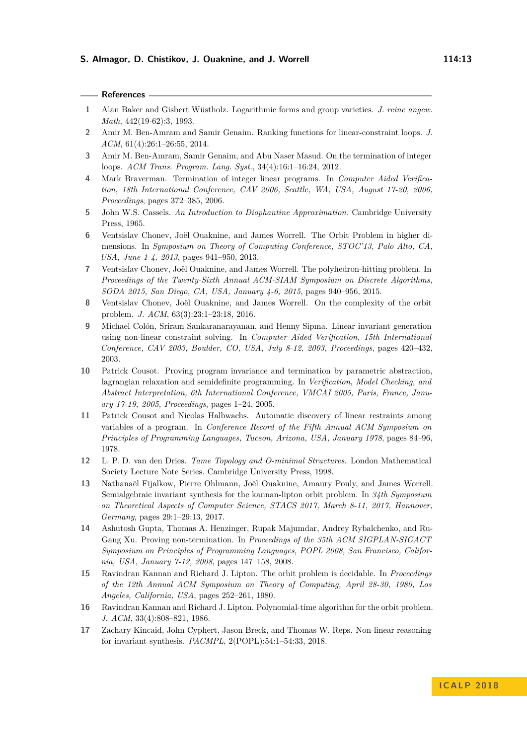#### **References**

- <span id="page-12-16"></span>**1** Alan Baker and Gisbert Wüstholz. Logarithmic forms and group varieties. *J. reine angew. Math*, 442(19-62):3, 1993.
- <span id="page-12-2"></span>**2** Amir M. Ben-Amram and Samir Genaim. Ranking functions for linear-constraint loops. *J. ACM*, 61(4):26:1–26:55, 2014.
- <span id="page-12-1"></span>**3** Amir M. Ben-Amram, Samir Genaim, and Abu Naser Masud. On the termination of integer loops. *ACM Trans. Program. Lang. Syst.*, 34(4):16:1–16:24, 2012.
- <span id="page-12-8"></span>**4** Mark Braverman. Termination of integer linear programs. In *Computer Aided Verification, 18th International Conference, CAV 2006, Seattle, WA, USA, August 17-20, 2006, Proceedings*, pages 372–385, 2006.
- <span id="page-12-15"></span>**5** John W.S. Cassels. *An Introduction to Diophantine Approximation*. Cambridge University Press, 1965.
- <span id="page-12-5"></span>**6** Ventsislav Chonev, Joël Ouaknine, and James Worrell. The Orbit Problem in higher dimensions. In *Symposium on Theory of Computing Conference, STOC'13, Palo Alto, CA, USA, June 1-4, 2013*, pages 941–950, 2013.
- <span id="page-12-7"></span>**7** Ventsislav Chonev, Joël Ouaknine, and James Worrell. The polyhedron-hitting problem. In *Proceedings of the Twenty-Sixth Annual ACM-SIAM Symposium on Discrete Algorithms, SODA 2015, San Diego, CA, USA, January 4-6, 2015*, pages 940–956, 2015.
- <span id="page-12-6"></span>**8** Ventsislav Chonev, Joël Ouaknine, and James Worrell. On the complexity of the orbit problem. *J. ACM*, 63(3):23:1–23:18, 2016.
- <span id="page-12-11"></span>**9** Michael Colón, Sriram Sankaranarayanan, and Henny Sipma. Linear invariant generation using non-linear constraint solving. In *Computer Aided Verification, 15th International Conference, CAV 2003, Boulder, CO, USA, July 8-12, 2003, Proceedings*, pages 420–432, 2003.
- <span id="page-12-12"></span>**10** Patrick Cousot. Proving program invariance and termination by parametric abstraction, lagrangian relaxation and semidefinite programming. In *Verification, Model Checking, and Abstract Interpretation, 6th International Conference, VMCAI 2005, Paris, France, January 17-19, 2005, Proceedings*, pages 1–24, 2005.
- <span id="page-12-10"></span>**11** Patrick Cousot and Nicolas Halbwachs. Automatic discovery of linear restraints among variables of a program. In *Conference Record of the Fifth Annual ACM Symposium on Principles of Programming Languages, Tucson, Arizona, USA, January 1978*, pages 84–96, 1978.
- <span id="page-12-14"></span>**12** L. P. D. van den Dries. *Tame Topology and O-minimal Structures*. London Mathematical Society Lecture Note Series. Cambridge University Press, 1998.
- <span id="page-12-13"></span>**13** Nathanaël Fijalkow, Pierre Ohlmann, Joël Ouaknine, Amaury Pouly, and James Worrell. Semialgebraic invariant synthesis for the kannan-lipton orbit problem. In *34th Symposium on Theoretical Aspects of Computer Science, STACS 2017, March 8-11, 2017, Hannover, Germany*, pages 29:1–29:13, 2017.
- <span id="page-12-9"></span>**14** Ashutosh Gupta, Thomas A. Henzinger, Rupak Majumdar, Andrey Rybalchenko, and Ru-Gang Xu. Proving non-termination. In *Proceedings of the 35th ACM SIGPLAN-SIGACT Symposium on Principles of Programming Languages, POPL 2008, San Francisco, California, USA, January 7-12, 2008*, pages 147–158, 2008.
- <span id="page-12-3"></span>**15** Ravindran Kannan and Richard J. Lipton. The orbit problem is decidable. In *Proceedings of the 12th Annual ACM Symposium on Theory of Computing, April 28-30, 1980, Los Angeles, California, USA*, pages 252–261, 1980.
- <span id="page-12-4"></span>**16** Ravindran Kannan and Richard J. Lipton. Polynomial-time algorithm for the orbit problem. *J. ACM*, 33(4):808–821, 1986.
- <span id="page-12-0"></span>**17** Zachary Kincaid, John Cyphert, Jason Breck, and Thomas W. Reps. Non-linear reasoning for invariant synthesis. *PACMPL*, 2(POPL):54:1–54:33, 2018.